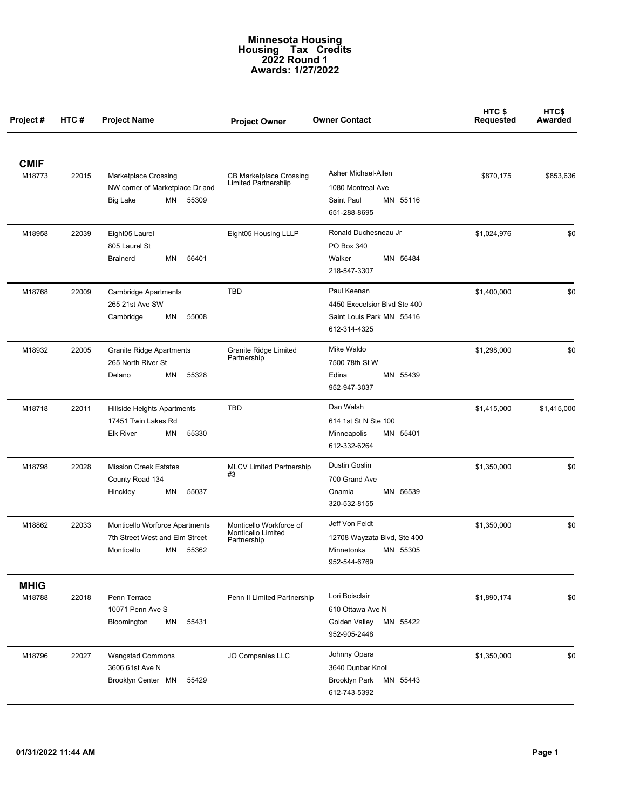## **Minnesota Housing Housing Tax Credits 2022 Round 1 Awards: 1/27/2022**

| Project#              | HTC#  | <b>Project Name</b>                                                                              | <b>Project Owner</b>                                          | <b>Owner Contact</b>                                                                     | HTC <sub>\$</sub><br><b>Requested</b> | HTC\$<br>Awarded |
|-----------------------|-------|--------------------------------------------------------------------------------------------------|---------------------------------------------------------------|------------------------------------------------------------------------------------------|---------------------------------------|------------------|
| <b>CMIF</b><br>M18773 | 22015 | <b>Marketplace Crossing</b><br>NW corner of Marketplace Dr and<br><b>Big Lake</b><br>MN<br>55309 | <b>CB Marketplace Crossing</b><br><b>Limited Partnershiip</b> | Asher Michael-Allen<br>1080 Montreal Ave<br>Saint Paul<br>MN 55116<br>651-288-8695       | \$870,175                             | \$853,636        |
| M18958                | 22039 | Eight05 Laurel<br>805 Laurel St<br>56401<br>Brainerd<br>ΜN                                       | Eight05 Housing LLLP                                          | Ronald Duchesneau Jr<br>PO Box 340<br>MN 56484<br>Walker<br>218-547-3307                 | \$1,024,976                           | \$0              |
| M18768                | 22009 | <b>Cambridge Apartments</b><br>265 21st Ave SW<br>55008<br>ΜN<br>Cambridge                       | TBD                                                           | Paul Keenan<br>4450 Execelsior Blvd Ste 400<br>Saint Louis Park MN 55416<br>612-314-4325 | \$1,400,000                           | \$0              |
| M18932                | 22005 | <b>Granite Ridge Apartments</b><br>265 North River St<br>55328<br>ΜN<br>Delano                   | <b>Granite Ridge Limited</b><br>Partnership                   | Mike Waldo<br>7500 78th St W<br>Edina<br>MN 55439<br>952-947-3037                        | \$1,298,000                           | \$0              |
| M18718                | 22011 | Hillside Heights Apartments<br>17451 Twin Lakes Rd<br><b>Elk River</b><br>ΜN<br>55330            | TBD                                                           | Dan Walsh<br>614 1st St N Ste 100<br>MN 55401<br>Minneapolis<br>612-332-6264             | \$1,415,000                           | \$1,415,000      |
| M18798                | 22028 | <b>Mission Creek Estates</b><br>County Road 134<br>Hinckley<br>ΜN<br>55037                       | <b>MLCV Limited Partnership</b><br>#3                         | Dustin Goslin<br>700 Grand Ave<br>MN 56539<br>Onamia<br>320-532-8155                     | \$1,350,000                           | \$0              |
| M18862                | 22033 | Monticello Worforce Apartments<br>7th Street West and Elm Street<br>55362<br>Monticello<br>MN    | Monticello Workforce of<br>Monticello Limited<br>Partnership  | Jeff Von Feldt<br>12708 Wayzata Blvd, Ste 400<br>MN 55305<br>Minnetonka<br>952-544-6769  | \$1,350,000                           | \$0              |
| <b>MHIG</b><br>M18788 | 22018 | Penn Terrace<br>10071 Penn Ave S<br>55431<br>Bloomington<br>ΜN                                   | Penn II Limited Partnership                                   | Lori Boisclair<br>610 Ottawa Ave N<br>Golden Valley<br>MN 55422<br>952-905-2448          | \$1,890,174                           | \$0              |
| M18796                | 22027 | Wangstad Commons<br>3606 61st Ave N<br>Brooklyn Center MN<br>55429                               | JO Companies LLC                                              | Johnny Opara<br>3640 Dunbar Knoll<br><b>Brooklyn Park</b><br>MN 55443<br>612-743-5392    | \$1,350,000                           | \$0              |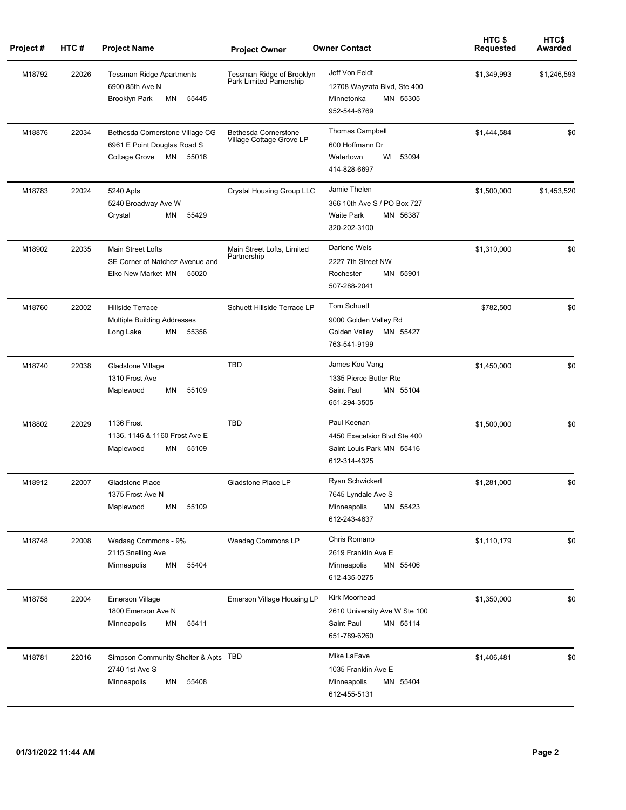| Project# | HTC#  | <b>Project Name</b>                                                                         | <b>Project Owner</b>                                 | <b>Owner Contact</b>                                                                         | HTC \$<br>Requested | HTC\$<br>Awarded |
|----------|-------|---------------------------------------------------------------------------------------------|------------------------------------------------------|----------------------------------------------------------------------------------------------|---------------------|------------------|
| M18792   | 22026 | <b>Tessman Ridge Apartments</b><br>6900 85th Ave N<br><b>Brooklyn Park</b><br>MN<br>55445   | Tessman Ridge of Brooklyn<br>Park Limited Parnership | Jeff Von Feldt<br>12708 Wayzata Blvd, Ste 400<br>Minnetonka<br>MN 55305<br>952-544-6769      | \$1,349,993         | \$1,246,593      |
| M18876   | 22034 | Bethesda Cornerstone Village CG<br>6961 E Point Douglas Road S<br>Cottage Grove<br>MN 55016 | Bethesda Cornerstone<br>Village Cottage Grove LP     | <b>Thomas Campbell</b><br>600 Hoffmann Dr<br>WI<br>53094<br>Watertown<br>414-828-6697        | \$1,444,584         | \$0              |
| M18783   | 22024 | 5240 Apts<br>5240 Broadway Ave W<br>ΜN<br>55429<br>Crystal                                  | <b>Crystal Housing Group LLC</b>                     | Jamie Thelen<br>366 10th Ave S / PO Box 727<br><b>Waite Park</b><br>MN 56387<br>320-202-3100 | \$1,500,000         | \$1,453,520      |
| M18902   | 22035 | <b>Main Street Lofts</b><br>SE Corner of Natchez Avenue and<br>Elko New Market MN<br>55020  | Main Street Lofts, Limited<br>Partnership            | Darlene Weis<br>2227 7th Street NW<br>MN 55901<br>Rochester<br>507-288-2041                  | \$1,310,000         | \$0              |
| M18760   | 22002 | <b>Hillside Terrace</b><br><b>Multiple Building Addresses</b><br>Long Lake<br>ΜN<br>55356   | Schuett Hillside Terrace LP                          | Tom Schuett<br>9000 Golden Valley Rd<br>Golden Valley<br>MN 55427<br>763-541-9199            | \$782,500           | \$0              |
| M18740   | 22038 | Gladstone Village<br>1310 Frost Ave<br>55109<br>Maplewood<br>ΜN                             | <b>TBD</b>                                           | James Kou Vang<br>1335 Pierce Butler Rte<br>Saint Paul<br>MN 55104<br>651-294-3505           | \$1,450,000         | \$0              |
| M18802   | 22029 | 1136 Frost<br>1136, 1146 & 1160 Frost Ave E<br>ΜN<br>55109<br>Maplewood                     | <b>TBD</b>                                           | Paul Keenan<br>4450 Execelsior Blvd Ste 400<br>Saint Louis Park MN 55416<br>612-314-4325     | \$1,500,000         | \$0              |
| M18912   | 22007 | <b>Gladstone Place</b><br>1375 Frost Ave N<br>55109<br>Maplewood<br>ΜN                      | Gladstone Place LP                                   | <b>Ryan Schwickert</b><br>7645 Lyndale Ave S<br>Minneapolis<br>MN 55423<br>612-243-4637      | \$1,281,000         | \$0              |
| M18748   | 22008 | Wadaag Commons - 9%<br>2115 Snelling Ave<br>55404<br>Minneapolis<br>ΜN                      | Waadag Commons LP                                    | Chris Romano<br>2619 Franklin Ave E<br>Minneapolis<br>MN 55406<br>612-435-0275               | \$1,110,179         | \$0              |
| M18758   | 22004 | <b>Emerson Village</b><br>1800 Emerson Ave N<br>Minneapolis<br>ΜN<br>55411                  | <b>Emerson Village Housing LP</b>                    | Kirk Moorhead<br>2610 University Ave W Ste 100<br>Saint Paul<br>MN 55114<br>651-789-6260     | \$1,350,000         | \$0              |
| M18781   | 22016 | Simpson Community Shelter & Apts TBD<br>2740 1st Ave S<br>Minneapolis<br>ΜN<br>55408        |                                                      | Mike LaFave<br>1035 Franklin Ave E<br>Minneapolis<br>MN 55404<br>612-455-5131                | \$1,406,481         | \$0              |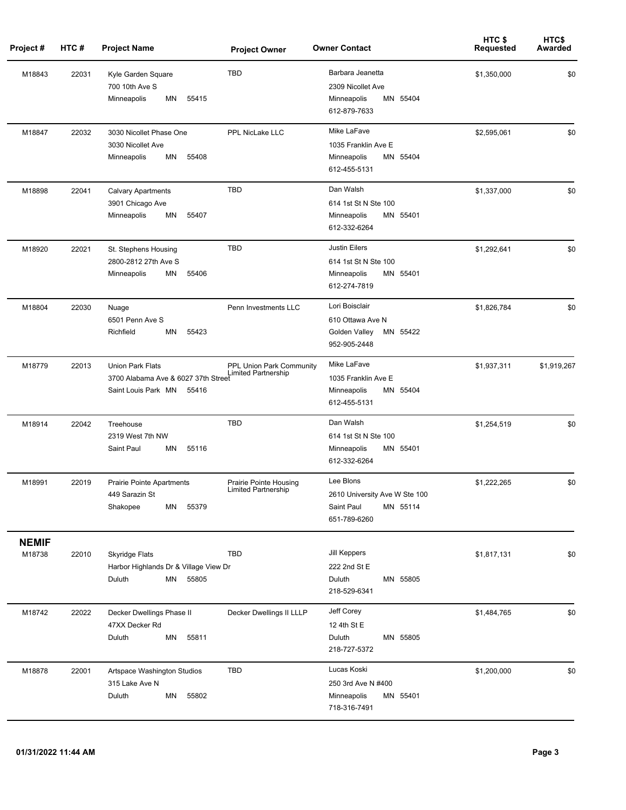| Project #              | HTC#  | <b>Project Name</b>                                                                            | <b>Project Owner</b>                                   | <b>Owner Contact</b>                                                                    | HTC\$<br><b>Requested</b> | HTC\$<br>Awarded |
|------------------------|-------|------------------------------------------------------------------------------------------------|--------------------------------------------------------|-----------------------------------------------------------------------------------------|---------------------------|------------------|
| M18843                 | 22031 | Kyle Garden Square<br>700 10th Ave S<br>55415<br>Minneapolis<br>ΜN                             | <b>TBD</b>                                             | Barbara Jeanetta<br>2309 Nicollet Ave<br>Minneapolis<br>MN 55404<br>612-879-7633        | \$1,350,000               | \$0              |
| M18847                 | 22032 | 3030 Nicollet Phase One<br>3030 Nicollet Ave<br>55408<br>Minneapolis<br>ΜN                     | PPL NicLake LLC                                        | Mike LaFave<br>1035 Franklin Ave E<br>MN 55404<br>Minneapolis<br>612-455-5131           | \$2,595,061               | \$0              |
| M18898                 | 22041 | <b>Calvary Apartments</b><br>3901 Chicago Ave<br>55407<br>Minneapolis<br>ΜN                    | <b>TBD</b>                                             | Dan Walsh<br>614 1st St N Ste 100<br>Minneapolis<br>MN 55401<br>612-332-6264            | \$1,337,000               | \$0              |
| M18920                 | 22021 | St. Stephens Housing<br>2800-2812 27th Ave S<br>55406<br>Minneapolis<br>ΜN                     | <b>TBD</b>                                             | <b>Justin Eilers</b><br>614 1st St N Ste 100<br>MN 55401<br>Minneapolis<br>612-274-7819 | \$1,292,641               | \$0              |
| M18804                 | 22030 | Nuage<br>6501 Penn Ave S<br>55423<br>Richfield<br>ΜN                                           | Penn Investments LLC                                   | Lori Boisclair<br>610 Ottawa Ave N<br>Golden Valley<br>MN 55422<br>952-905-2448         | \$1,826,784               | \$0              |
| M18779                 | 22013 | <b>Union Park Flats</b><br>3700 Alabama Ave & 6027 37th Street<br>Saint Louis Park MN<br>55416 | PPL Union Park Community<br><b>Limited Partnership</b> | Mike LaFave<br>1035 Franklin Ave E<br>Minneapolis<br>MN 55404<br>612-455-5131           | \$1,937,311               | \$1,919,267      |
| M18914                 | 22042 | Treehouse<br>2319 West 7th NW<br>Saint Paul<br>55116<br>MN                                     | <b>TBD</b>                                             | Dan Walsh<br>614 1st St N Ste 100<br>Minneapolis<br>MN 55401<br>612-332-6264            | \$1,254,519               | \$0              |
| M18991                 | 22019 | <b>Prairie Pointe Apartments</b><br>449 Sarazin St<br>55379<br>Shakopee<br>ΜN                  | Prairie Pointe Housing<br><b>Limited Partnership</b>   | Lee Blons<br>2610 University Ave W Ste 100<br>Saint Paul<br>MN 55114<br>651-789-6260    | \$1.222.265               | \$0              |
| <b>NEMIF</b><br>M18738 | 22010 | <b>Skyridge Flats</b><br>Harbor Highlands Dr & Village View Dr<br>ΜN<br>55805<br>Duluth        | <b>TBD</b>                                             | Jill Keppers<br>222 2nd St E<br>MN 55805<br>Duluth<br>218-529-6341                      | \$1,817,131               | \$0              |
| M18742                 | 22022 | Decker Dwellings Phase II<br>47XX Decker Rd<br>MN<br>55811<br>Duluth                           | Decker Dwellings II LLLP                               | Jeff Corey<br>12 4th St E<br>Duluth<br>MN 55805<br>218-727-5372                         | \$1,484,765               | \$0              |
| M18878                 | 22001 | Artspace Washington Studios<br>315 Lake Ave N<br>MN<br>55802<br>Duluth                         | <b>TBD</b>                                             | Lucas Koski<br>250 3rd Ave N #400<br>MN 55401<br>Minneapolis<br>718-316-7491            | \$1,200,000               | \$0              |